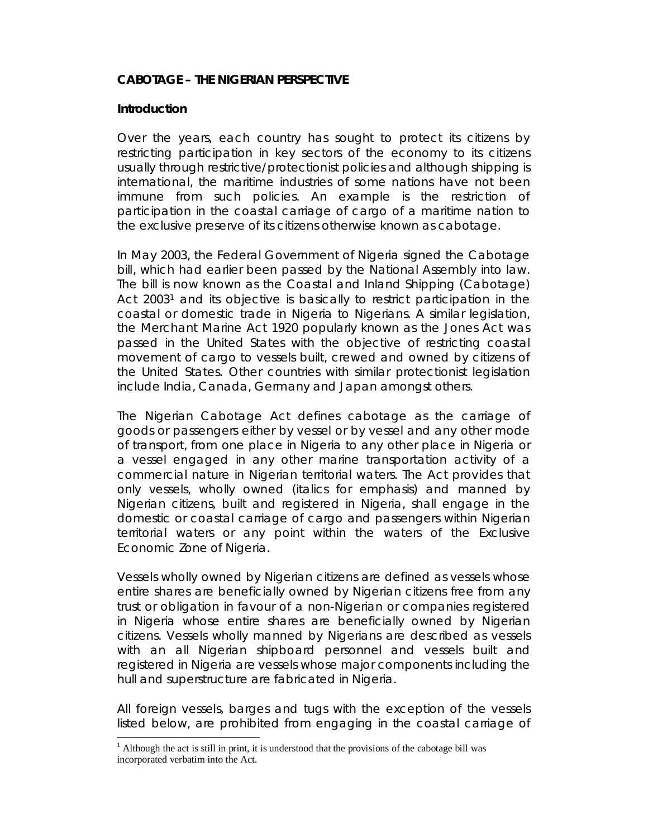## **CABOTAGE – THE NIGERIAN PERSPECTIVE**

#### **Introduction**

Over the years, each country has sought to protect its citizens by restricting participation in key sectors of the economy to its citizens usually through restrictive/protectionist policies and although shipping is international, the maritime industries of some nations have not been immune from such policies. An example is the restriction of participation in the coastal carriage of cargo of a maritime nation to the exclusive preserve of its citizens otherwise known as cabotage.

In May 2003, the Federal Government of Nigeria signed the Cabotage bill, which had earlier been passed by the National Assembly into law. The bill is now known as the Coastal and Inland Shipping (Cabotage) Act 20031 and its objective is basically to restrict participation in the coastal or domestic trade in Nigeria to Nigerians. A similar legislation, the Merchant Marine Act 1920 popularly known as the Jones Act was passed in the United States with the objective of restricting coastal movement of cargo to vessels built, crewed and owned by citizens of the United States. Other countries with similar protectionist legislation include India, Canada, Germany and Japan amongst others.

The Nigerian Cabotage Act defines cabotage as the carriage of goods or passengers either by vessel or by vessel and any other mode of transport, from one place in Nigeria to any other place in Nigeria or a vessel engaged in any other marine transportation activity of a commercial nature in Nigerian territorial waters. The Act provides that only vessels, *wholly owned* (italics for emphasis) and manned by Nigerian citizens, built and registered in Nigeria, shall engage in the domestic or coastal carriage of cargo and passengers within Nigerian territorial waters or any point within the waters of the Exclusive Economic Zone of Nigeria.

Vessels wholly owned by Nigerian citizens are defined as vessels whose entire shares are beneficially owned by Nigerian citizens free from any trust or obligation in favour of a non-Nigerian or companies registered in Nigeria whose entire shares are beneficially owned by Nigerian citizens. Vessels wholly manned by Nigerians are described as vessels with an all Nigerian shipboard personnel and vessels built and registered in Nigeria are vessels whose major components including the hull and superstructure are fabricated in Nigeria.

All foreign vessels, barges and tugs with the exception of the vessels listed below, are prohibited from engaging in the coastal carriage of

<sup>&</sup>lt;sup>1</sup> Although the act is still in print, it is understood that the provisions of the cabotage bill was incorporated verbatim into the Act.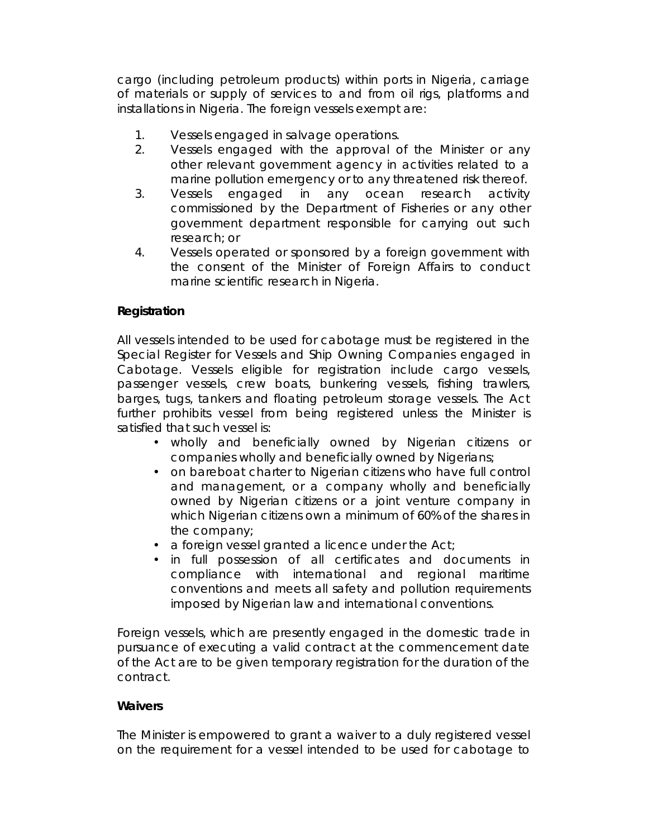cargo (including petroleum products) within ports in Nigeria, carriage of materials or supply of services to and from oil rigs, platforms and installations in Nigeria. The foreign vessels exempt are:

- 1. Vessels engaged in salvage operations.
- 2. Vessels engaged with the approval of the Minister or any other relevant government agency in activities related to a marine pollution emergency or to any threatened risk thereof.
- 3. Vessels engaged in any ocean research activity commissioned by the Department of Fisheries or any other government department responsible for carrying out such research; or
- 4. Vessels operated or sponsored by a foreign government with the consent of the Minister of Foreign Affairs to conduct marine scientific research in Nigeria.

# **Registration**

All vessels intended to be used for cabotage must be registered in the Special Register for Vessels and Ship Owning Companies engaged in Cabotage. Vessels eligible for registration include cargo vessels, passenger vessels, crew boats, bunkering vessels, fishing trawlers, barges, tugs, tankers and floating petroleum storage vessels. The Act further prohibits vessel from being registered unless the Minister is satisfied that such vessel is:

- wholly and beneficially owned by Nigerian citizens or companies wholly and beneficially owned by Nigerians;
- on bareboat charter to Nigerian citizens who have full control and management, or a company wholly and beneficially owned by Nigerian citizens or a joint venture company in which Nigerian citizens own a minimum of 60% of the shares in the company;
- a foreign vessel granted a licence under the Act;
- in full possession of all certificates and documents in compliance with international and regional maritime conventions and meets all safety and pollution requirements imposed by Nigerian law and international conventions.

Foreign vessels, which are presently engaged in the domestic trade in pursuance of executing a valid contract at the commencement date of the Act are to be given temporary registration for the duration of the contract.

## **Waivers**

The Minister is empowered to grant a waiver to a duly registered vessel on the requirement for a vessel intended to be used for cabotage to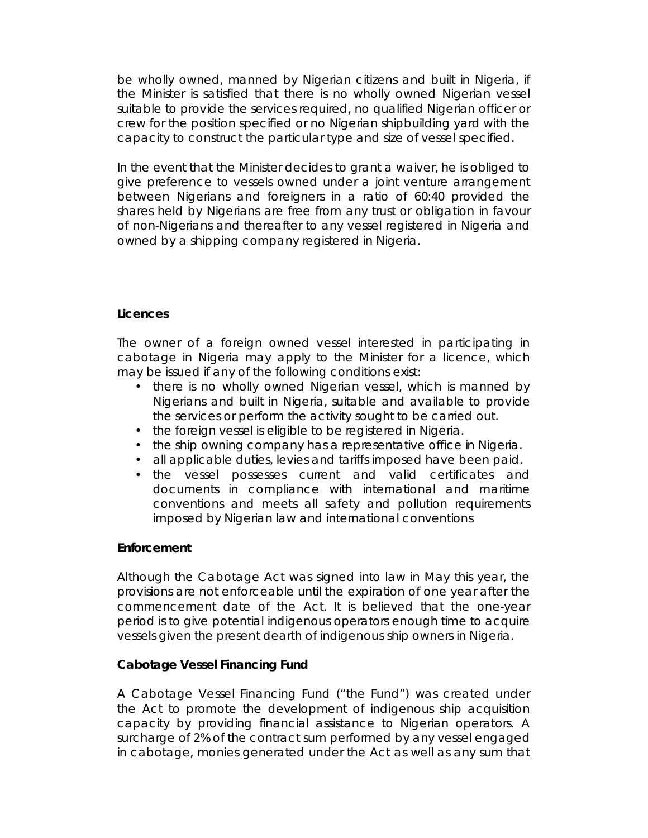be wholly owned, manned by Nigerian citizens and built in Nigeria, if the Minister is satisfied that there is no wholly owned Nigerian vessel suitable to provide the services required, no qualified Nigerian officer or crew for the position specified or no Nigerian shipbuilding yard with the capacity to construct the particular type and size of vessel specified.

In the event that the Minister decides to grant a waiver, he is obliged to give preference to vessels owned under a joint venture arrangement between Nigerians and foreigners in a ratio of 60:40 provided the shares held by Nigerians are free from any trust or obligation in favour of non-Nigerians and thereafter to any vessel registered in Nigeria and owned by a shipping company registered in Nigeria.

#### **Licences**

The owner of a foreign owned vessel interested in participating in cabotage in Nigeria may apply to the Minister for a licence, which may be issued if any of the following conditions exist:

- there is no wholly owned Nigerian vessel, which is manned by Nigerians and built in Nigeria, suitable and available to provide the services or perform the activity sought to be carried out.
- the foreign vessel is eligible to be registered in Nigeria.
- the ship owning company has a representative office in Nigeria.
- all applicable duties, levies and tariffs imposed have been paid.
- the vessel possesses current and valid certificates and documents in compliance with international and maritime conventions and meets all safety and pollution requirements imposed by Nigerian law and international conventions

## **Enforcement**

Although the Cabotage Act was signed into law in May this year, the provisions are not enforceable until the expiration of one year after the commencement date of the Act. It is believed that the one-year period is to give potential indigenous operators enough time to acquire vessels given the present dearth of indigenous ship owners in Nigeria.

## **Cabotage Vessel Financing Fund**

A Cabotage Vessel Financing Fund ("the Fund") was created under the Act to promote the development of indigenous ship acquisition capacity by providing financial assistance to Nigerian operators. A surcharge of 2% of the contract sum performed by any vessel engaged in cabotage, monies generated under the Act as well as any sum that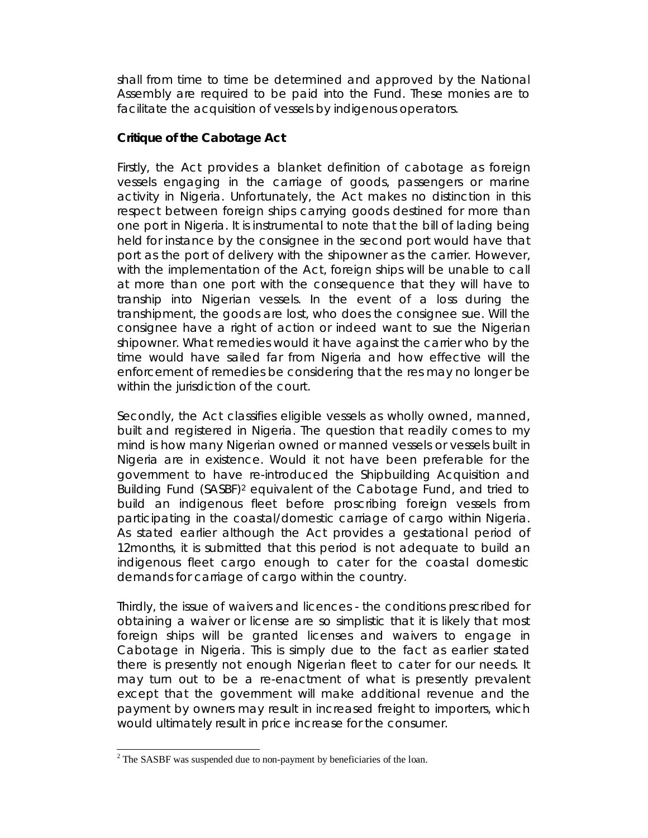shall from time to time be determined and approved by the National Assembly are required to be paid into the Fund. These monies are to facilitate the acquisition of vessels by indigenous operators.

**Critique of the Cabotage Act**

Firstly, the Act provides a blanket definition of cabotage as foreign vessels engaging in the carriage of goods, passengers or marine activity in Nigeria. Unfortunately, the Act makes no distinction in this respect between foreign ships carrying goods destined for more than one port in Nigeria. It is instrumental to note that the bill of lading being held for instance by the consignee in the second port would have that port as the port of delivery with the shipowner as the carrier. However, with the implementation of the Act, foreign ships will be unable to call at more than one port with the consequence that they will have to tranship into Nigerian vessels. In the event of a loss during the transhipment, the goods are lost, who does the consignee sue. Will the consignee have a right of action or indeed want to sue the Nigerian shipowner. What remedies would it have against the carrier who by the time would have sailed far from Nigeria and how effective will the enforcement of remedies be considering that the res may no longer be within the jurisdiction of the court.

Secondly, the Act classifies eligible vessels as wholly owned, manned, built and registered in Nigeria. The question that readily comes to my mind is how many Nigerian owned or manned vessels or vessels built in Nigeria are in existence. Would it not have been preferable for the government to have re-introduced the Shipbuilding Acquisition and Building Fund (SASBF)2 equivalent of the Cabotage Fund, and tried to build an indigenous fleet before proscribing foreign vessels from participating in the coastal/domestic carriage of cargo within Nigeria. As stated earlier although the Act provides a gestational period of 12months, it is submitted that this period is not adequate to build an indigenous fleet cargo enough to cater for the coastal domestic demands for carriage of cargo within the country.

Thirdly, the issue of waivers and licences - the conditions prescribed for obtaining a waiver or license are so simplistic that it is likely that most foreign ships will be granted licenses and waivers to engage in Cabotage in Nigeria. This is simply due to the fact as earlier stated there is presently not enough Nigerian fleet to cater for our needs. It may turn out to be a re-enactment of what is presently prevalent except that the government will make additional revenue and the payment by owners may result in increased freight to importers, which would ultimately result in price increase for the consumer.

 $2^2$  The SASBF was suspended due to non-payment by beneficiaries of the loan.